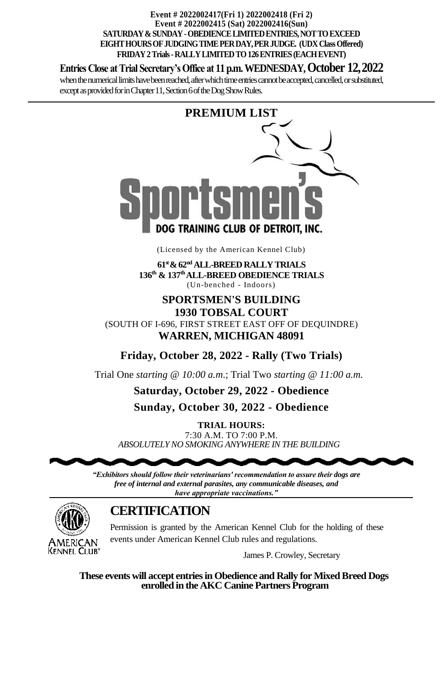#### **Event # 2022002417(Fri 1) 2022002418 (Fri 2) Event # 2022002415 (Sat) 2022002416(Sun) SATURDAY & SUNDAY -OBEDIENCE LIMITED ENTRIES, NOT TO EXCEED EIGHT HOURS OF JUDGING TIME PER DAY, PER JUDGE. (UDX Class Offered) FRIDAY 2 Trials-RALLY LIMITED TO 126 ENTRIES (EACH EVENT)**

# **Entries Close at Trial Secretary's Office at 11 p.m.WEDNESDAY, October 12,2022**

when the numerical limits have been reached, after which time entries cannot be accepted, cancelled, or substituted, except as provided for in Chapter 11, Section 6 of the Dog Show Rules.



(Licensed by the American Kennel Club)

**61st& 62 ndALL-BREED RALLY TRIALS 136 th & 137 thALL-BREED OBEDIENCE TRIALS** (Un-benched - Indoors)

## **SPORTSMEN'S BUILDING 1930 TOBSAL COURT**  (SOUTH OF I-696, FIRST STREET EAST OFF OF DEQUINDRE) **WARREN, MICHIGAN 48091**

**Friday, October 28, 2022 - Rally (Two Trials)**

Trial One *starting @ 10:00 a.m*.; Trial Two *starting @ 11:00 a.m.*

**Saturday, October 29, 2022 - Obedience** 

**Sunday, October 30, 2022 - Obedience** 

**TRIAL HOURS:** 

7:30 A.M. TO 7:00 P.M. *ABSOLUTELY NO SMOKING ANYWHERE IN THE BUILDING*

*"Exhibitors should follow their veterinarians' recommendation to assure their dogs are free of internal and external parasites, any communicable diseases, and have appropriate vaccinations."*



# **CERTIFICATION**

Permission is granted by the American Kennel Club for the holding of these events under American Kennel Club rules and regulations.

James P. Crowley, Secretary

**These events will accept entries in Obedience and Rally for Mixed Breed Dogs enrolled in the AKC Canine Partners Program**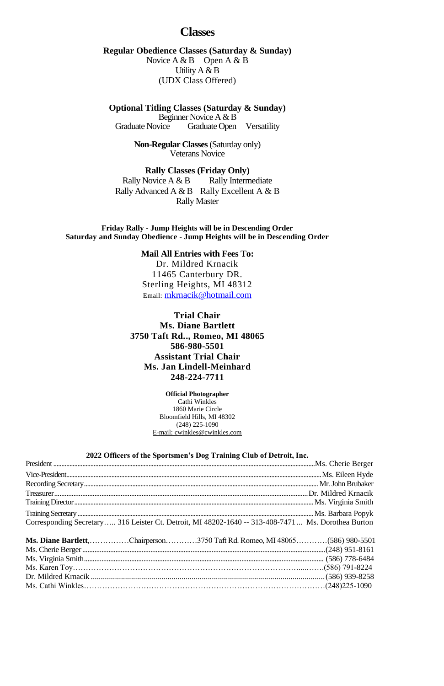#### **Classes**

**Regular Obedience Classes (Saturday & Sunday)** Novice  $A \& B$  Open  $A \& B$ Utility A & B (UDX Class Offered)

**Optional Titling Classes (Saturday & Sunday)** Beginner Novice A & B<br>Graduate Novice Graduate Open Graduate Open Versatility

> **Non-Regular Classes**(Saturday only) Veterans Novice

**Rally Classes (Friday Only)** Rally Novice  $A & B$  Rally Intermediate Rally Advanced A & B Rally Excellent A & B Rally Master

#### **Friday Rally - Jump Heights will be in Descending Order Saturday and Sunday Obedience - Jump Heights will be in Descending Order**

#### **Mail All Entries with Fees To:**

Dr. Mildred Krnacik 11465 Canterbury DR. Sterling Heights, MI 48312 Email: [mkrnacik@hotmail.com](mailto:mkrnacik@hotmail.com)

**Trial Chair Ms. Diane Bartlett 3750 Taft Rd.., Romeo, MI 48065 586-980-5501 Assistant Trial Chair Ms. Jan Lindell-Meinhard 248-224-7711**

> **Official Photographer** Cathi Winkles 1860 Marie Circle Bloomfield Hills, MI 48302 (248) 225-1090 [E-mail: cwinkles@cwinkles.com](mailto:cwinkles@cwinkles.com)

#### **2022 Officers of the Sportsmen's Dog Training Club of Detroit, Inc.**

| Corresponding Secretary 316 Leister Ct. Detroit, MI 48202-1640 -- 313-408-7471  Ms. Dorothea Burton |  |
|-----------------------------------------------------------------------------------------------------|--|
| Ms. Diane BartlettChairperson3750 Taft Rd. Romeo, MI 48065(586) 980-5501                            |  |
|                                                                                                     |  |
|                                                                                                     |  |
|                                                                                                     |  |
|                                                                                                     |  |
|                                                                                                     |  |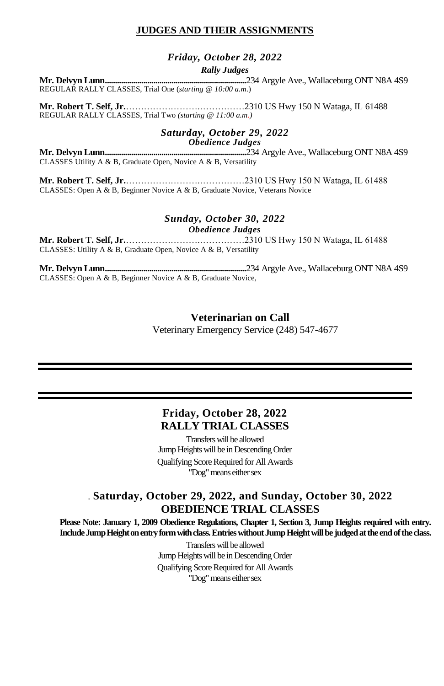#### **JUDGES AND THEIR ASSIGNMENTS**

#### *Friday, October 28, 2022*

#### *Rally Judges*

**Mr. Delvyn Lunn......................................................................**234 Argyle Ave., Wallaceburg ONT N8A 4S9 REGULAR RALLY CLASSES, Trial One (*starting @ 10:00 a.m*.)

**Mr. Robert T. Self, Jr.**…………………….……………2310 US Hwy 150 N Wataga, IL 61488 REGULAR RALLY CLASSES, Trial Two *(starting @ 11:00 a.m.)*

#### *Saturday, October 29, 2022 Obedience Judges*

**Mr. Delvyn Lunn......................................................................**234 Argyle Ave., Wallaceburg ONT N8A 4S9 CLASSES Utility A & B, Graduate Open, Novice A & B, Versatility

**Mr. Robert T. Self, Jr.**…………………….……………2310 US Hwy 150 N Wataga, IL 61488 CLASSES: Open A & B, Beginner Novice A & B, Graduate Novice, Veterans Novice

## *Sunday, October 30, 2022 Obedience Judges*

**Mr. Robert T. Self, Jr.**…………………….……………2310 US Hwy 150 N Wataga, IL 61488 CLASSES: Utility A & B, Graduate Open, Novice A & B, Versatility

**Mr. Delvyn Lunn......................................................................**234 Argyle Ave., Wallaceburg ONT N8A 4S9 CLASSES: Open A & B, Beginner Novice A & B, Graduate Novice,

## **Veterinarian on Call**

Veterinary Emergency Service (248) 547-4677

## **Friday, October 28, 2022 RALLY TRIAL CLASSES**

Transferswill be allowed Jump Heights will be in Descending Order Qualifying Score Required for All Awards "Dog" means either sex

## . **Saturday, October 29, 2022, and Sunday, October 30, 2022 OBEDIENCE TRIAL CLASSES**

**Please Note: January 1, 2009 Obedience Regulations, Chapter 1, Section 3, Jump Heights required with entry. Include Jump Height on entry form with class. Entries without Jump Height will be judged at the end of the class.**

> Transferswill be allowed Jump Heights will be in Descending Order Qualifying Score Required for All Awards "Dog" means either sex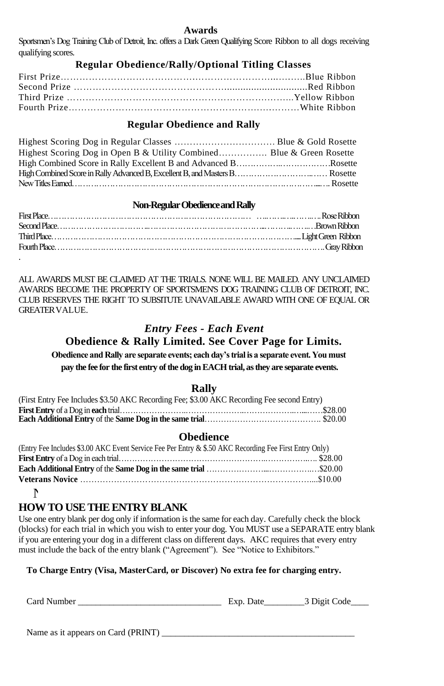#### **Awards**

Sportsmen's Dog Training Club of Detroit, Inc. offers a Dark Green Qualifying Score Ribbon to all dogs receiving qualifying scores.

#### **Regular Obedience/Rally/Optional Titling Classes**

#### **Regular Obedience and Rally**

| Highest Scoring Dog in Open B & Utility Combined Blue & Green Rosette |  |
|-----------------------------------------------------------------------|--|
| High Combined Score in Rally Excellent B and Advanced BRosette        |  |
|                                                                       |  |
|                                                                       |  |

#### **Non-Regular Obedienceand Rally**

| $\cdot$ |  |
|---------|--|

ALL AWARDS MUST BE CLAIMED AT THE TRIALS. NONE WILL BE MAILED. ANY UNCLAIMED AWARDS BECOME THE PROPERTY OF SPORTSMEN'S DOG TRAINING CLUB OF DETROIT, INC. CLUB RESERVES THE RIGHT TO SUBSITUTE UNAVAILABLE AWARD WITH ONE OF EQUAL OR GREATER VALUE.

# *Entry Fees - Each Event* **Obedience & Rally Limited. See Cover Page for Limits.**

## **Obedience and Rally are separate events; each day's trial is a separate event. You must pay the fee for the first entry of the dog in EACH trial, as they are separate events.**

#### **Rally**

| (First Entry Fee Includes \$3.50 AKC Recording Fee; \$3.00 AKC Recording Fee second Entry) |  |
|--------------------------------------------------------------------------------------------|--|
|                                                                                            |  |
|                                                                                            |  |

### **Obedience**

| (Entry Fee Includes \$3.00 AKC Event Service Fee Per Entry & \$.50 AKC Recording Fee First Entry Only) |  |
|--------------------------------------------------------------------------------------------------------|--|
|                                                                                                        |  |
|                                                                                                        |  |
|                                                                                                        |  |
|                                                                                                        |  |

## N

# **HOW TO USE THE ENTRY BLANK**

Use one entry blank per dog only if information is the same for each day. Carefully check the block (blocks) for each trial in which you wish to enter your dog. You MUST use a SEPARATE entry blank if you are entering your dog in a different class on different days. AKC requires that every entry must include the back of the entry blank ("Agreement"). See "Notice to Exhibitors."

## **To Charge Entry (Visa, MasterCard, or Discover) No extra fee for charging entry.**

| Card Number | Exp. Date | _3 Digit Code____ |
|-------------|-----------|-------------------|
|             |           |                   |

Name as it appears on Card (PRINT) \_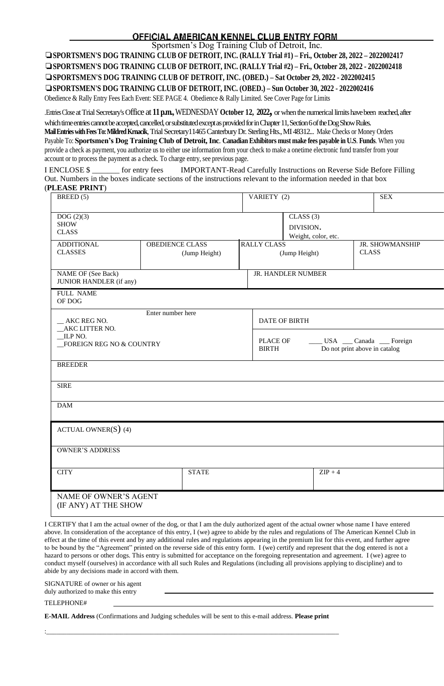# **OFFICIAL AMERICAN KENNEL CLUB ENTRY FORM**<br>Sportsmen's Dog Training Club of Detroit, Inc.

❏**SPORTSMEN'S DOG TRAINING CLUB OF DETROIT, INC. (RALLY Trial #1) – Fri., October 28, 2022 – 2022002417** ❏**SPORTSMEN'S DOG TRAINING CLUB OF DETROIT, INC. (RALLY Trial #2) – Fri., October 28, 2022 - 2022002418** ❏**SPORTSMEN'S DOG TRAINING CLUB OF DETROIT, INC. (OBED.) – Sat October 29, 2022 - 2022002415** ❏**SPORTSMEN'S DOG TRAINING CLUB OF DETROIT, INC. (OBED.) – Sun October 30, 2022 - 2022002416** Obedience & Rally Entry Fees Each Event: SEE PAGE 4. Obedience & Rally Limited. See Cover Page for Limits

.Entries Close at Trial Secretary's Office at **11p.m.,**WEDNESDAY **October 12, <sup>2022</sup>,** or when the numerical limits have been reached, after whichtime entries cannot be accepted, cancelled, or substituted except as provided for in Chapter 11, Section 6 of the Dog Show Rules. **Mail Entries withFees To: Mildred Krnacik**, Trial Secretary11465 Canterbury Dr. Sterling Hts., MI 48312... Make Checks or Money Orders Payable To: **Sportsmen's Dog Training Club of Detroit, Inc**. **Canadian Exhibitors must make fees payable in U.S**. **Funds**. When you provide a check as payment, you authorize us to either use information from your check to make a onetime electronic fund transfer from your account or to process the payment as a check. To charge entry, see previous page.

I ENCLOSE \$ \_\_\_\_\_\_\_ for entry fees IMPORTANT-Read Carefully Instructions on Reverse Side Before Filling Out. Numbers in the boxes indicate sections of the instructions relevant to the information needed in that box (**PLEASE PRINT**)

| <br>BREED (5)                                        |                                         | VARIETY (2)                                  | <b>SEX</b>                                          |  |
|------------------------------------------------------|-----------------------------------------|----------------------------------------------|-----------------------------------------------------|--|
| DOG(2)(3)<br><b>SHOW</b><br><b>CLASS</b>             |                                         | CLASS(3)<br>DIVISION.<br>Weight, color, etc. |                                                     |  |
| <b>ADDITIONAL</b><br><b>CLASSES</b>                  | <b>OBEDIENCE CLASS</b><br>(Jump Height) | <b>RALLY CLASS</b><br>(Jump Height)          | JR. SHOWMANSHIP<br><b>CLASS</b>                     |  |
| NAME OF (See Back)<br>JUNIOR HANDLER (if any)        |                                         | JR. HANDLER NUMBER                           |                                                     |  |
| <b>FULL NAME</b><br>OF DOG                           |                                         |                                              |                                                     |  |
| AKC REG NO.<br>AKC LITTER NO.                        | Enter number here                       | <b>DATE OF BIRTH</b>                         |                                                     |  |
| ILP NO.<br><b>FOREIGN REG NO &amp; COUNTRY</b>       |                                         | <b>PLACE OF</b><br><b>BIRTH</b>              | USA Canada Foreign<br>Do not print above in catalog |  |
| <b>BREEDER</b>                                       |                                         |                                              |                                                     |  |
| <b>SIRE</b>                                          |                                         |                                              |                                                     |  |
| <b>DAM</b>                                           |                                         |                                              |                                                     |  |
| $ACTUALOWNER(S)$ (4)                                 |                                         |                                              |                                                     |  |
| <b>OWNER'S ADDRESS</b>                               |                                         |                                              |                                                     |  |
| <b>CITY</b>                                          | <b>STATE</b>                            | $ZIP + 4$                                    |                                                     |  |
| <b>NAME OF OWNER'S AGENT</b><br>(IF ANY) AT THE SHOW |                                         |                                              |                                                     |  |

I CERTIFY that I am the actual owner of the dog, or that I am the duly authorized agent of the actual owner whose name I have entered above. In consideration of the acceptance of this entry, I (we) agree to abide by the rules and regulations of The American Kennel Club in effect at the time of this event and by any additional rules and regulations appearing in the premium list for this event, and further agree to be bound by the "Agreement" printed on the reverse side of this entry form. I (we) certify and represent that the dog entered is not a hazard to persons or other dogs. This entry is submitted for acceptance on the foregoing representation and agreement. I (we) agree to conduct myself (ourselves) in accordance with all such Rules and Regulations (including all provisions applying to discipline) and to abide by any decisions made in accord with them.

SIGNATURE of owner or his agent

duly authorized to make this entry

TELEPHONE#

**E-MAIL Address** (Confirmations and Judging schedules will be sent to this e-mail address. **Please print** :\_\_\_\_\_\_\_\_\_\_\_\_\_\_\_\_\_\_\_\_\_\_\_\_\_\_\_\_\_\_\_\_\_\_\_\_\_\_\_\_\_\_\_\_\_\_\_\_\_\_\_\_\_\_\_\_\_\_\_\_\_\_\_\_\_\_\_\_\_\_\_\_\_\_\_\_\_\_\_\_\_\_\_\_\_\_\_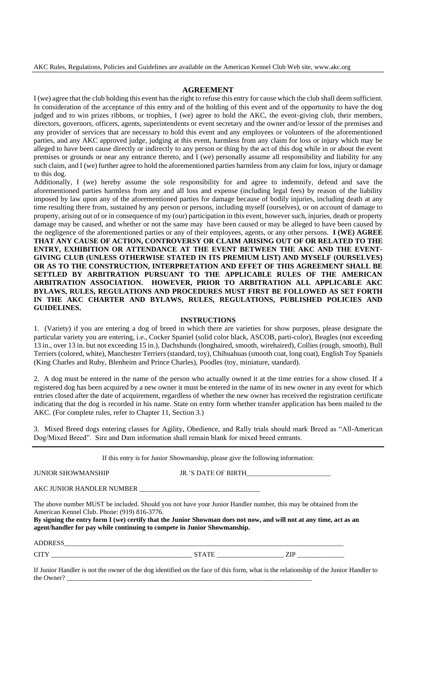#### **AGREEMENT**

I (we) agree that the club holding this event has the right to refuse this entry for cause which the club shall deem sufficient. In consideration of the acceptance of this entry and of the holding of this event and of the opportunity to have the dog judged and to win prizes ribbons, or trophies, I (we) agree to hold the AKC, the event-giving club, their members, directors, governors, officers, agents, superintendents or event secretary and the owner and/or lessor of the premises and any provider of services that are necessary to hold this event and any employees or volunteers of the aforementioned parties, and any AKC approved judge, judging at this event, harmless from any claim for loss or injury which may be alleged to have been cause directly or indirectly to any person or thing by the act of this dog while in or about the event premises or grounds or near any entrance thereto, and I (we) personally assume all responsibility and liability for any such claim, and I (we) further agree to hold the aforementioned parties harmless from any claim for loss, injury or damage to this dog.

Additionally, I (we) hereby assume the sole responsibility for and agree to indemnify, defend and save the aforementioned parties harmless from any and all loss and expense (including legal fees) by reason of the liability imposed by law upon any of the aforementioned parties for damage because of bodily injuries, including death at any time resulting there from, sustained by any person or persons, including myself (ourselves), or on account of damage to property, arising out of or in consequence of my (our) participation in this event, however such, injuries, death or property damage may be caused, and whether or not the same may have been caused or may be alleged to have been caused by the negligence of the aforementioned parties or any of their employees, agents, or any other persons. **I (WE) AGREE THAT ANY CAUSE OF ACTION, CONTROVERSY OR CLAIM ARISING OUT OF OR RELATED TO THE ENTRY, EXHIBITION OR ATTENDANCE AT THE EVENT BETWEEN THE AKC AND THE EVENT-GIVING CLUB (UNLESS OTHERWISE STATED IN ITS PREMIUM LIST) AND MYSELF (OURSELVES) OR AS TO THE CONSTRUCTION, INTERPRETATION AND EFFET OF THIS AGREEMENT SHALL BE SETTLED BY ARBITRATION PURSUANT TO THE APPLICABLE RULES OF THE AMERICAN ARBITRATION ASSOCIATION. HOWEVER, PRIOR TO ARBITRATION ALL APPLICABLE AKC BYLAWS, RULES, REGULATIONS AND PROCEDURES MUST FIRST BE FOLLOWED AS SET FORTH IN THE AKC CHARTER AND BYLAWS, RULES, REGULATIONS, PUBLISHED POLICIES AND GUIDELINES.**

#### **INSTRUCTIONS**

1. (Variety) if you are entering a dog of breed in which there are varieties for show purposes, please designate the particular variety you are entering, i.e., Cocker Spaniel (solid color black, ASCOB, parti-color), Beagles (not exceeding 13 in., over 13 in. but not exceeding 15 in.), Dachshunds (longhaired, smooth, wirehaired), Collies (rough, smooth), Bull Terriers (colored, white), Manchester Terriers (standard, toy), Chihuahuas (smooth coat, long coat), English Toy Spaniels (King Charles and Ruby, Blenheim and Prince Charles), Poodles (toy, miniature, standard).

2. A dog must be entered in the name of the person who actually owned it at the time entries for a show closed. If a registered dog has been acquired by a new owner it must be entered in the name of its new owner in any event for which entries closed after the date of acquirement, regardless of whether the new owner has received the registration certificate indicating that the dog is recorded in his name. State on entry form whether transfer application has been mailed to the AKC. (For complete rules, refer to Chapter 11, Section 3.)

3. Mixed Breed dogs entering classes for Agility, Obedience, and Rally trials should mark Breed as "All-American Dog/Mixed Breed". Sire and Dam information shall remain blank for mixed breed entrants.

If this entry is for Junior Showmanship, please give the following information:

JUNIOR SHOWMANSHIP JR.'S DATE OF BIRTH\_

AKC JUNIOR HANDLER NUMBER

The above number MUST be included. Should you not have your Junior Handler number, this may be obtained from the American Kennel Club. Phone: (919) 816-3776.

**By signing the entry form I (we) certify that the Junior Showman does not now, and will not at any time, act as an agent/handler for pay while continuing to compete in Junior Showmanship.**

ADDRESS\_\_\_\_\_\_\_\_\_\_\_\_\_\_\_\_\_\_\_\_\_\_\_\_\_\_\_\_\_\_\_\_\_\_\_\_\_\_\_\_\_\_\_\_\_\_\_\_\_\_\_\_\_\_\_\_\_\_\_\_\_\_\_\_\_\_\_\_\_\_\_\_\_\_\_\_\_\_\_\_\_\_\_

CITY \_\_\_\_\_\_\_\_\_\_\_\_\_\_\_\_\_\_\_\_\_\_\_\_\_\_\_\_\_\_\_\_\_\_\_\_\_\_\_\_\_\_ STATE \_\_\_\_\_\_\_\_\_\_\_\_\_\_\_\_\_\_\_\_ ZIP \_\_\_\_\_\_\_\_\_\_\_\_\_\_

If Junior Handler is not the owner of the dog identified on the face of this form, what is the relationship of the Junior Handler to the Owner?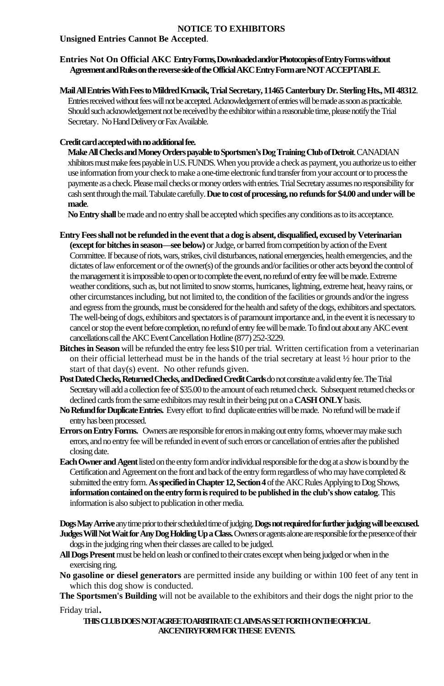## **NOTICE TO EXHIBITORS**

#### **Unsigned Entries Cannot Be Accepted**.

#### **Entries Not On Official AKC Entry Forms, Downloaded and/or Photocopies of Entry Forms without Agreement and Rules on the reverse side of the Official AKC Entry Form are NOT ACCEPTABLE**.

## **Mail All Entries With Fees to Mildred Krnacik, Trial Secretary, 11465 Canterbury Dr. Sterling Hts.,MI 48312**.

Entries received without fees will not be accepted. Acknowledgement of entries will be made as soon as practicable. Should such acknowledgement not be received by the exhibitor within a reasonable time, please notify the Trial Secretary. No Hand Delivery or Fax Available.

#### **Credit card accepted with no additional fee.**

**Make All Checks and Money Orders payable to Sportsmen's Dog Training Club of Detroit**. CANADIAN xhibitors must make fees payable in U.S. FUNDS. When you provide a check as payment, you authorize us to either use information from your check to make a one-time electronic fund transfer from your account or to process the paymente as a check. Please mail checks or money orders with entries. Trial Secretary assumes no responsibility for cash sent through the mail. Tabulate carefully. **Due to cost of processing, no refunds for \$4.00 and under will be made**.

**No Entry shall**be made and no entry shall be accepted which specifies any conditions as to its acceptance.

- **EntryFees shall not be refunded in the event that a dog is absent, disqualified, excused by Veterinarian (except for bitches in season—see below)** or Judge, or barred from competition by action of the Event Committee. If because of riots, wars, strikes, civil disturbances, national emergencies, health emergencies, and the dictates of law enforcement or of the owner(s) of the grounds and/or facilities or other acts beyond the control of the management it is impossible to open or to complete the event, no refund of entry fee will be made. Extreme weather conditions, such as, but not limited to snow storms, hurricanes, lightning, extreme heat, heavy rains, or other circumstances including, but not limited to, the condition of the facilities or grounds and/or the ingress and egress from the grounds, must be considered for the health and safety of the dogs, exhibitors and spectators. The well-being of dogs, exhibitors and spectators is of paramount importance and, in the event it is necessary to cancel or stop the event before completion, no refund of entry fee will be made. To find out about any AKC event cancellations call the AKC Event Cancellation Hotline (877) 252-3229.
- **Bitches in Season** will be refunded the entry fee less \$10 per trial. Written certification from a veterinarian on their official letterhead must be in the hands of the trial secretary at least  $\frac{1}{2}$  hour prior to the start of that day(s) event. No other refunds given.
- Post Dated Checks, Returned Checks, and Declined Credit Cards do not constitute a valid entry fee. The Trial Secretary will add a collection fee of \$35.00 to the amount of each returned check. Subsequent returned checks or declined cards from the same exhibitors may result in their being put on a **CASH ONLY**basis.
- **No Refund for Duplicate Entries.** Every effort tofind duplicate entries will be made. No refund willbe made if entry has been processed.
- **Errors on Entry Forms.** Owners are responsible for errors in making out entry forms, whoever may make such errors, and noentry fee will be refunded in event of such errors or cancellation of entries after the published closing date.
- **Each Owner and Agent**listed on the entry form and/or individual responsible for the dog at a show is bound by the Certification and Agreement on the front and back of the entry form regardless of who may have completed  $\&$ submitted the entry form. **As specified in Chapter 12, Section 4**of the AKC Rules Applying to Dog Shows, **information contained on the entry form is required to be published in the club's show catalog**. This information is also subject to publication in other media.

**Dogs May Arrive** anytime prior to their scheduled time of judging. **Dogs not required for further judging will be excused. Judges Will Not Wait for Any Dog Holding Up a Class.** Owners or agents alone are responsible for the presence of their

- dogsin the judging ring when their classes are called to be judged. **All Dogs Present** must be held on leash or confined to their crates except when being judged or when in the exercising ring.
- **No gasoline or diesel generators** are permitted inside any building or within 100 feet of any tent in which this dog show is conducted.

**The Sportsmen's Building** will not be available to the exhibitors and their dogs the night prior to the Friday trial.

#### **THIS CLUB DOESNOT AGREE TO ARBITRATECLAIMSAS SETFORTHON THE OFFICIAL AKC ENTRYFORM FORTHESE EVENTS.**